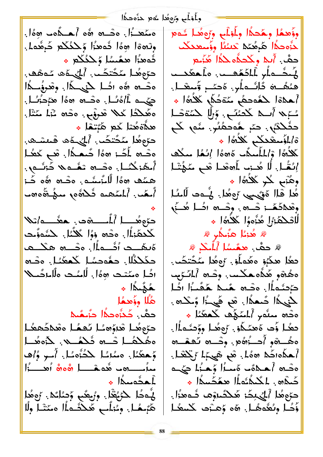وأُفأُبِ وَرُوهُا هُو حَزْوَهُا

وَمَعِيدًا. وَحَده هُو أَهْلُمُومَ وَوَا. وتحدَّا جِدًا ثَمِعْزًا وُلِلْكُع ضَرْهُما. ثُومرُّا هِمُسُا وُكْكُمْ \* دۆوھُا مَكْتَكَب. أَلَيْ هَ مَا مُوهَ فِي ەتْبەر بۇە يېڭىلا كۆپگەل. وقىرۇسىگال حيَّـــه ]اهْتُـــا. هــْـــه ههُ اهتِحتُتُــا. هَعْلَامًا لَمَلاً مْدِوْمٍ. هِدْهِ لَّذَا مَنْتَا. هذَّةهُدَا كَم هُبُتِهَا ﴾ حَوْمِعُلْ مَكْتَضَىٰ. أَلَيْ هُ هِ قَسْمَهِ. ەتىھ لَمَّے: ھەُ كَىمْلًا. ھَى كَعُلَّا أَمغَنكا ودْ ه عُصْد كُرْئُوس . همّه هؤا لَّامُّ مِشْدٍ. ودْ هو هُو جُ أَمَمَّى. أَلْمَنْعَتْ ثَلَاثُهُ مِنْ أَنْ مَادَةً دَوْهِ مُكْرًا أَلْمُكْتَ وَهُ دَ. حَيْثُ دَائِلًا كْدِهَٰ;ٱ). ەدْرُه وْوَا ݣْلْأَىٰل: حْشُەوَّىت ەُنھَــد أُشُــەلُمْ. ەثـــە ھڭــع حكْكْلًا. حمُّەجسُل كْمِعْسُلْ. ەشھ ائْبَا مِمْتَتِ ہووُا. لُامْتِ وَلَٰائِرِیْتِ ÷ Kýá هُلَّا وؤُهمُا حفْ. كُذُهِ حِدًّا حَنْهُكُمْ حرِّوهُـا هُدَوِّه بُـا تُحمُـا وهُدَخَعْهُـا ەھُلاھُـا تْــە ئُلْهُـــلا، لأەھُــا وَمِعْكُمَا. مِمُدْسًا لِكَنُّوسًا. أُسِرٍ وُاف مدائد من محمد الله على الله عنها الله عنها \* Kusant لْمُعطُ لِكَيْتُنَا. وِرُبِعَيْمٍ وَصَلَّكُمْ. رُوهُا هُبُسُما. وِنُنِلِّبِ هَٰكِثَـٰهِ الْمَنْسَا وِلَا

وؤهما ومفحدا وأوأب وزوها شمع حَزْهِ حِمَّا جَرِهُمَهُ عَبْسًا وَوَسِعِدِكُت حفْ. أَبِي وكُحِدُّه جَدًّا هَٰذَيع يْمَشْــهْلُمْ لْمُلْكَمَّةِـــم، ه لْمَعْكَــم قِنْقُدة قَالَــْمِلُرٍ. هُجِنْجِ وَّحْمَدِّلِ. أهلاة المحْمَدهُم مَّةدُهُم لَلاَّهُ ا سُرَىد أَسِيد كُحِنْشٌ . وَرِلًا ۖ حَمَّةَ صَبَلَ حثُكْتُو. حَمْرٍ هُوَحقُتُو. مُنَّى كُمْ ة/إؤْسِعْدِكْمِ لْمَدُّهُ ! \* ݣْلْالْمَا وْالْمُلْمِدْتْ كْ16% إِنْـْهَا مِىكْف إِنْشًا. لًا هُـ;ب لِمُعقَّا هُبِ مَكْثَلًا وهُنْهِم لَمْدٍ ݣَلْدَهُ! \* هُا قَالَ هُوَيْجِي رُوهُا. لِمُعْتَ لَلْمُنْا وِهْدْكُهُــز تْـــهِ. وِتْــهِ ائْــلْ هُــزُو لْاتْكَفّْرُلْ هُذُهُوا كَلَاهُا \* **& هُزنُا هَزْمَكُم &** *ه* حقّ همّسُا آلَمْكِر ه دهُا هكَبُو هِ هَداو: رُوهُا مَدَّنَدَ، ەھُھْوٖ ھُڪُەھكىب. وِتْـه ٱلمَنَّـرُىب كَرْحِيْكَمْلْ. وَكَنْ هُنْكُمْ هُقْتُوْلُ اجْتَلْ لِمَنِيجًا حُسْمًا. هُو فَيِيءًا وَجْدُهِ. ەدە مىلُەر آلمىگە كىھكا، دهُـا وَّد هُمْـٰـٰهُوْ. رُوهُـا وِرَّحْـُـٰماًا. ەھٔــەۋ أحــأەگەر. وتـــە ئىھقــە أهكَّادَهُ هُدَاءٌ هُمْ هَيْهَا رَبُّكُمُ الْمَسْتَمَاءُ مَرْدِ أَهْلَاهُ وَمِثْلُ وَهُدُمْ لَا يَكْتَبُ كَيْݣُو، لْمُتْكَلّْمُتّْمَالْ هِمْكْسَدًا \* حَوْهِ هَٰا ٱلْمُكْبِحَةِ هَٰلِكُمَاوْهِ ۖ شَمْعَةُ!. وَّحُـا وِيُعُمِعُـا. ۞ه وَهـْرَت لَكَنْبِعُـا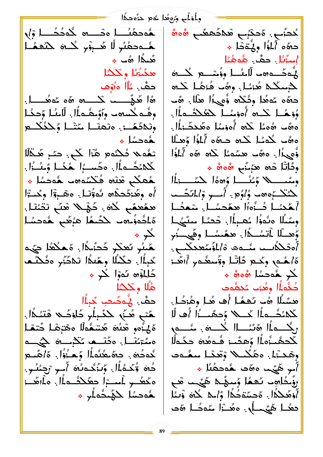وأُفِلُو وُرُوهُا هُو حزَّەحدًا

هُوَحِفُنُــا وَتَــــرَه كُودُهُـــا وْلِي هُــوحفُنُو لَا هُـــرِوْوِ كُـــةَ كَنُفَـهُــا مُعَمَّا الله عنه هنَّنُرُّا وِكْكَا حقُّ: عُلَّا ورُوْها وِڤُدكْسوم وأَوُمعُداْل لْأَمِنْـا وَجِجْـا وثكفِّف: وثعنْسا مَتْسا وَحِكْكُم هُ حِسُل \* تَعُمْد دُكْمُهِ هُٰٓا كُلِّ حَبْ هَٰذَا ل ﻼَﻣُﺪُڪِﺎ, وَڪَﺴـُزُ| هُڪُــا وُﻣـُــُزْ|, هُعَكُم مْلَهُ فَكْسُوهِ هُءَدْمًا ﴾ أُه وهُزكُحكُره نُهرُّنل. هڤـرِڙَا وكُـــرَّا همُعمَى لُهُ . حُمْى لا شَبْ تَتَمُدْلَ. مَّاحُوذُ مِن الْحُمْلُ هَزْهُمْ اهْوَصُبْلُ كُمْ \*<br>هَيْنُو تَعْكُمْ حَجَّيْهَا. ةَ هَكْعُلْ صَبْحَ كَبِئًا. دَكْتُلاً وِهَندًا ثَلاَكْتُو هَكْتُم كَالمْؤْه نُورًا لَكُو \* مُلا وتحكا حقٌّ. إِنَّهكُنفٍ كُرِلَمَا هَبْ هُنِّي حَدَّبِلُرٍ حُلوْحُــهِ قَتَنُــدًا. دَلْبُوو هْدُهْ هُتْنَعْمَلَا وَهْبَهْا كُتْعْبَا ەمئىتنىل. ەكتىمە ئىكرىسىزە كىسم لَّدَدُهَ . دهَ سُنُدَلَّا وَحَذَوْاً . هَ/هُنفر دُهْ وُّكْـدُاْلْ. وِّلزُّكْـدلُهْ أُسو رْحِنْلُـو. ەڭھُـــو لْمىــــْزا دەڭلاشـــەلماً. ەلماھَـــز هُەحسُل حَجَّىثُه لُهِ \*

مُحَنَّبٍ. هُحكَّبٍ شَكْحُعْفَبٍ 500 دهُه أَلمُوْا وِيُّقْدَا \* إمنُّنَا. حفَّ. هُومُنَا لْهُ صَدْهُ مَا الْمُسْلُمْ وِوُّسْتُسْمَلْ الْأَسْرَةُ كرسكك هُزئا. وهُب فُزِهَا كُلُو حهُه عُمعُا وِثَكُله وُمِيدًا هِلَا. هُب وُوْهُـا ݣـده أُهوْمُـا لِكَعْلاَئُــهِـٱلْ. ەھُب ھُوعُل كُلە أُەفِسُل ەھُدجَّىزَلْمَ . ههُم لَكُمُل لَكُمْ حَيْهُمْ أَلْمَوْاً وَهِلْلا وَّى الْمَارِ. وَهُ صَدْمَه مِنْ الْمَرْهُ مِنْ الْمَرْهُ وَدَّاتْلَ دَه مَبَنَّى وَّهُ \* ومئيسيكا وُسُسا وُ‰ا حِيَّسِيزاًا ڪُڪرَەαب وُ/وُھ. أُڪر و*ٛ\لَاَڪُ*ـب أَهْدَئِهِ دُءُواْ مَهْدَسَاً. مْعَدُ ومَمْلًا دَثَوًْا عُصِرِلًا. تَحمُّا مِنْهُمْ ا وُهِــُلَّا ـأَتِسُــدًا. هِـمَّسُــا وفَي ـزُرِ أُەتْللاسىا مْسَاھ ةْالمُوْمُعْدَلْكَبِ. ةُاهُمِ وَكُــمِ دَّاتْـا وِوَّمعثُـمرِ ٱاهَــز ىكىر مۇھ *دىئ*ا شەھ ب كُنُّه لَمَّا وهُن مُحَقَّدت همَّىلًا هُــ تَـْعَـمُـل أَهـ هُــل وِهُـزَحُــل. كْلِمُنْشُــه| الْمَـــلا وِّحمَّـــزَّا أَف الْـ رگ عالم است السنڌ ۽ سگ م كَّحِفُّتُوماُ وَهِصُّـ: فُـوهُـن حَكْـولًا وهْدْبْلْ. ەمَكْسُلا وْتْعْدْلْ سِعْدە أُس هَيَّب ههُ صفَّ هُدَهُمَّا \* رِؤْمِثْلُهِمَا تَعْمُلُ وَمِيشُكُمْ تَكْيُمِمَا شَيْءٍ أُوْهَدُهُ لِ. هَحِمَّةَحُدًا وَّامِدْ كُنْ وْسُأَ دهُـا هُهُمـاً، وهُــْأَ مَّوصُـا هَ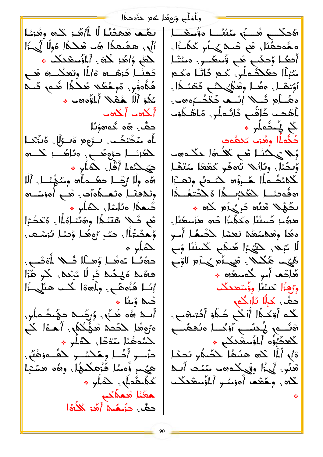وأُفأُبِ وَرُوهُا هُو مِدْوَحَمَّا

بَعْثُ مُعْدَّنُا لَا أَاهُد: ݣُدْ وْهُ: ا ٱلْ، هِقَىعِمَا هُـَ مْكِمًا هُولًا ِيُّ أَ لْمَعَى وُاهَدِ لَكُنَّهُ وَأَعْلَمُوهَدَكُمْ \* كَعنُــا كَرْهْــــرَه هُـٰها الله وتَعكُـــره هُـــع فُذْهُوبٍ. هُوهُعَكِدٍ تَعْلَـٰهُ! هُـٰـهِ كَـٰـِمْ مُكُوْ ٱللَّهُ هُمْلاً ٱلْمَوَّدِدِ ﴾  $\frac{1}{2}$ انگلاه کی ایک حقّْ. ۞ه گەھۇلا لَم مَكْتكَـــ. بــؤوم ەَبــرَهُا . ەَبَرْكــا لمغُنْشًا دَوْهَ بِ. وَتُلَهَّدَ لَمْسُهِ حَكِمِكْمَا أَقْلَ حَدْمُ \* هُهِ وَلَا رُجَّا حَعَّــهِ لَهِ وَمَّجُّـَـاً. أَلَّا وِلْكُلْفَاءِ الْمُسْكَلُواُفٍ. هُبِ أُوفِسْدِ صُعدًا مِنَاسًا. كَمَلُرٍ \* هْمِ شَلا هْتَىٰدًا وِهَتَناهُ أَ. هَتَدَّتْزَا وَحِدَّتُهَاْ. حَيْرٍ وَوَهُمَا وَحِبًا تَنْشَعَبَ حْمَلُو \* دەُنـُـا مُەھُــا وِّھــْلا شَــلا لْمُقَـبِ. فَقَيْمًا فَهِنَّكُمْ فَرِ لَا تُرْبَكُمْ. لَكُو هُّزَا إِسًا قُذْهِ هَبِي. وِلْمَهْمَا كُنْتَ هِنَلْهِ أَلْمَ ئىد ۇملا ھ أَسِدْ هُ٥ هُـنَىٰ. وُرِجُسدْ حيْمَشُـهلُرِ. ەرُەمُدا حْدَدە شَوْكُكُو. أَحدُا كُلِ لِكَنُّهِ هُمُّا مَّتَوْدًا. لِكَالِّهِ \* دَّنِـــرِ أَكُـــا وِهَكْسُــرِ كَــُقُــوْهُـُمْ. ههُم ذُهلًا قُوْهَكُمْ}. وهُه همْشْهَا ڬڲ۫ٮڠٞڡڵؙۥ۪؞ۦ*ٮ*ٚۿڵؠ؞ هعَمًا مُهلَّنَب حفٍّ. حَزْمَهُمْ أَهُدِ لَلأَهُ ا

هُحكَبِ هُـــَّىٰ مَنُسُــا وَقْسِعْــا ەھُەجھُدَّا. ھَى شَىك كِمَار كَكَمَارُ. أُدهُا وُحمَّى هَي وُسعَيِّ مِنْشَا مَّبْأَا حَعَكْفُولُرٍ. كُـع دَّاتْنَا وكُـع أَوُتِّصْلُ. هِ هَلْ وَهَدَّيْ حَمْثُ وَ هَمَّدُهُ!. ەھْكُم شَـــلا إِنْـــم كَـتْكُـــزەھــ . ـلْھَٰـٓـَــَـٰ خَاقُــٰمِ كَالنَّـٰہِ ۚ ہُٰلَھَٰـٰكُاوَٰ۔ ىكە ئەھەملىر خە كُنْمَلُّا وهُزم كَدِهُمِ وُلِمَا يَهْلُمُنَا شَبِيَ بَلْاُ الْمُكْتَّةِ وَسَاءَ مِنْ الْمَلْكَ وَسَاءَ مِنْ وُبِّدُا. وِنَأْلِي نُوفُو كَعْعْدًا مَنْفَا لَكُمْنُشُّدَاً الْمُسْبِوَّةَ لِكْسَدَبُّ وتَعْسَرَا هفُوصُا لِمَعْدِسِيهُ مَلاَصَعُبِهُ لَكُهْلًا شَلْتُهُ كَرِيْهُمْ لَكُلَّةٌ ﴾ هدەً : حَسلُلُ مَكَمَّدُ أَدَه هُنَّى هُلُّلٌ . هعُل وقدهمَمُعَه تعمْل للصُّمُل أُسو لًا صِّيهِ. حَتَّىٰءَ! هُـمْمٍ كَسْتُنَا مْعِ هَيْء مَكْمِلاً. شَيْءَمِ يُسْتَمْعَ مِنْهُمْ هَاتُم أَسِ گُدْمَعْهِ \* وَإِجْزَا تَنْسُلُا وَوُسْعَنْكُتْ حفُّ. کَرِلًا تَالگُور كُم أَوْكُمُا أَآكُمْ شُكُوْ أَثْتَوْهُبْ. هَنُـــهِ لِمُكْنَبِ أَوْكُــا هِنُعَمَّـبِ لَكَعَدُّزُوْهِ ٱلْمُؤْسِقُدِكُم \* ة) أَلَمْا لَاه هِنَّهُا لِكَنفُرِ تَحدًا } هْلُو. إِيْمَا وِقْ كِمَاهِ مَمْنُتْ أَسْلَا لْكُلُّهِ . وَهُعْكُمْ أُدْوَسُبِ أَلْمُؤْسِعْدِكْت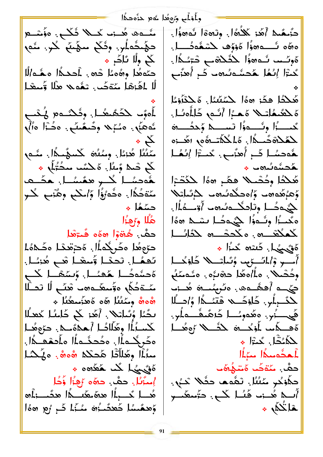وأُوْلُم وَرُوهُا هُو حزَّەحدًّا

دَّمْهُكُمْ أَهَٰذٍ لَكُلُّهُ). وِنْهِءْ أَنَّفُهُوَا: منْسوها هُسن، كَسِلا قُكْسٍ. وَوَمْسْعِرْ حَكْمَثُومُلُو. وِثَكَمْ سَكَمِنٌ كُلُو. سُمَع ەھُە ئَــــەھۈُا ەُوَوِّھ كَشَعُّەدُـــــا. ≫ ولُا ئاڪْ, ٭ ەُوِىَــى ئــەەۋا للثَّلاۋىــو تْـتِىـُدَّا. حَمْدَهُما وِهُمَا دُهِ . مُحكمًا مِعْدَلًا كُنْتَا إِنُـهَا هُجِنَنَـٰهِ مَانِهِ ۖ وَ أَهْبَـٰبِ لًا لمَفْزِهَا مِنْقَصِّبٍ. تَمُّفِي هِلَّا وَّسِعْدَ هَكْدًا هِدًا هِهَا كَمَنْتُنَا. هَكْتَرُوْمًا لَمَوۡفِ لِلۡكَٰفُنِعُـلَ ۚ وِثُلُنُـٰدَمِ لَٰٓكَنَـٰعِ ثَهِ مَنْ وَسُمُسَلَّى وَحُسُمًا وَالْمَجْمَعَةِ وَالْمَجْمَعَةِ وَالْمَجَمَعَةِ وَالْمَجْمَعَةِ وَ  $\frac{1}{2}$ مَعْلَمًا هُـزمًا. وِمُعُلُهَ كَسَهَّمَـدًا. مُنْـم ﻼ ﺻْﺪ *ﯞ*ﯨﻨ*ﺎ.* ﻩْﺪﯨﺌﯩ ﻣﯩﺨُﺘُّﻠُ ﭼ هُوصِيُا كُلِّ مِمَّسُلَ. هَجَلُتُ مَّةَدُّهُا. وَدُوۡرُوۡۖا وَُۙٱ سَّٰلِ وِيُّنۡى ۖ كُـْر دسّمُا ھ هُلًا وزَهِّزًا حڤ. هُةوْا هەُه ڤُتوْمَا حرّەھُا ەَحُرِيْكُەلُّا. ەُحْتِقْدْا ەكْلاەْل تَعمُّـا. تَحمَّـا وُّمعْـا مْع مُنْـا. ەَحشَەتُــا ھَھسُــا. وَسَنْھَــا كُـــح مَّــٰقَاهُمْ وَقُمِعَــٰـٰـەما قُنَّـٰحِ لَّا نَصْلَا ڈەر ومَىْلُدُ 60 كَاھْنَىمْھُلُّا \* ىخَىْا وُتَىاتِيْ } أَهَٰذِ كُمْ خَامِنُا كَعِيلًا كْسِبْبُاْلِ ومَكْلَاحُبِلِ أَبْعَجْهُ بِجَاءٍ مِنْ وَمَحْبِ ەكرېڭـﻪﻟْﺎ. ەكھىگا ماھىھىدا. مِبزُاْلِ وِهَلِلْأَخْلِ هُدَكُمْ رَقُودَةً . وَيُحْكُمُ : oséá Lígé إسرَّبُّل. حقَّ. حرَّه رَجِزًا وَجُل هُـــا كُــــوكَما هدهٌ حكَنـــدكَما هدَّمــــوَكَم وُهِمَّسُل حَهِدَّاَهُ سُنَّرُ کَمِ رُمِ هُوَا

هَ حَقَىمُائِـدْ هَـمَـٰهُ! أَنَّـمٍ خَلَفُونُـا . كُنْتُ أَوشُنْدُوْا بْسَنْنَاهُ وَجَدُنْتُ وَ للَّهُلُمُوَدُّسُمُّا. هَا لَكُلَّتَ وَهُ مِ اهْدِهِ هُوصُلُ کُــِ أُهزُبِي. كُنْــَرَّا إِنْـُمْـا هُدشُه لُدهب \* هُلْحُلُ وِحُصْلًا فَقَعٍ هَٰا لَكُنْتَهِ! ۇھۇھُدەپ ۋادچگەنىھب كېئىلتىلا لجُيءكُما وِتَائِكُمُدُوبِ أَوْسَـٰهُ أَلْهِ . هَكُمَّ أَنْ وَشَدَوْاً حَيْجَدَهَا بِشَيْخَ 30\$ا كْمْكْتْد. مْ كْحْتْد. مْ حْثَابُهْ ا ەق باشقا ھەت ئىستان، أمسو وْالمْنْسِيِّى، وُتُماتَسْلا خَاوْخُسَا. وحُصْلًا . ٥ أَأَهَ هَٰا حَدْثَوْهِ . ٥ شَمْعُهُ كهُــه أَهِمُّــه، وتُوجِّمــة هُــزم لْكَتّْبِلُرِ. خَلّْوَحَـــد قَتْنَــدًا وُاصِـلًا فَي زُين وهُدوسُا دُرمُيڤُ ولُين ەْھىكامىا كُۆكتە كېڭىكلا ئۆھكىل لِكُمُنْثَانِ گُنْزَا ﴾ ألمحْد الْمُدعَّا حقّْ. مْقْضّْ ەْشْمُ%ت حكَّوْكُمْ مَكْتُلْ. تْݣُەھ حَثَّلا كْتُلْ. أَسِيهِ هُسْنَا هُسُل كُلِّي. حَتَّمِيعُمِينِ هاتُكُم \*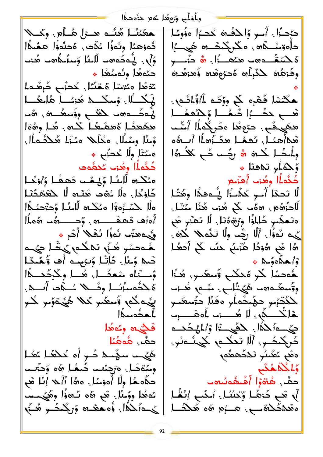وأُفأُبِ وَرُوهُا هُو مِدْوَحَمَّا

حَمَّمُنُا هُنُد هُـرُ هُـأَمْ. وِكَــلا ثُەزىمىُا وِنُەزُا عُكُاب ەُحِنُّەزُا ھِمَّىكُا وُلُمْ. إِنَّـهَ شَاهَا وَاللَّهُ وَاللَّهُ وَاللَّهُ وَاللَّهُ مِنْ اللَّهُ وَالِيَّاسُ دَّعَهُمَا وِثَمِئْعُا \* تَّةَهْا مَتَّتِمًا مَّقْتُمًا. كُحَّنِّبِ خَرِهُـما لْهَكْسُلًا. وْسكْسِطْ هُنسُلْ هُلْعُسْلَ يُّەكَـــەھ بْ كَعَلَـــم وَوُسْعَدُـــة. شَ هِهُعِصًا هُعِمَّعُاً كُلُّهِ. مُا وَهُوْا وَّىنُا ومِّىلًا. ۞حُلُمْ ۞حُبْنَا هَٰكُكُومَاً!. ەمنىڭا ولا حُدُّى \* كُثْمَلُّا وهُن كُنفُوت ونُكْتُ لَّاسُلَّا وَٰلِيَّقُبْ ثَعْفُلَ وَٰاٰوَكُلَّا كَافِكْل ولُّا مُرْهَد مْنْـْرَه لُّا حْقْنْفَدَّىْل ەلْلىكسَبُوۋا ەڭگى لَلىنُىل وُحْتَحِنْـدُال أَهْلُكَ تَتَعَفَّــــــةَ ﴾ وَحــــــةُ وَالْمَعَلَّا يُّ2هتُ نُدَوُّا نُفْلاً أُثْرِ \* مرح لتُرحّ رمكُمْ ربْعُ بِنْمَ عَمَدَ كَـٰهُ وَّٰىئًا. كَاٰلْنَا وَٰىئِهِـٰهِ أَٰفٌ وَّٰهُـٰدًا وًْكَرْدَاه عْمَدًا. هُــا وكْرِكْحِــدًا هَ حَدَّدَمِيزُنُــا وِدَّـــــــلا يُــــدَو أُنـــــد. ىنگە ئۇسقىش ئىملا ھۇيتۇس كىر  $\int_{\Delta}$ قثيره وتمفل حفٌ. هُومُنْا هَيْب سهُنه دُــوٖ أَه مُعْظَا مَعْنَا ومَّةَصَلَّ هَرْجِئْكَ صُغُلَّا هُوَ وَجَزَّكَ حكَّمهُا ولَّا أُمْوَسُلَ. مِمَّا أَأَيْدِ إِنَّا مْعَ عْدَهُا وِوَّىئًا. هُم هُ٥ سُدوُّا وِهَيْمِىب بْ هَأَلْكُمَا. وْهِ هَشْدَه وْرِيْكْلْحُسِ هُــَّنِ دَدَرًا. أُسو وَالْحَفُّةِ كُحَيَّا وَوُوسًا داُەتنىشى ھىكرېڭىشى ھىسىرا هَ كَمَنْقُدِهِ مَدْهَدٌ أَنْ قَا حَزَّمَ مِنْ وقَزْهُنْ كَثَرِلُمْ هُجَرْهِ هُدْ وَهَزْهُدِنَ ـمكْتشا فَعْبِه لَكَ وِوِّضُم ـ*أَا*وُّاضُـهر. هُـــــو حَـــــُ إِلّــمُــــــــا وَحَتَـفُـــا هنگهگه : حرِّهِهُا مَحْرِبُهُمَّا أَسُّب هَدَأَهْدًا. تَعْمُلُ هَدَّ زَهاً أَسْرَةُه ولُمحُـا كُـ ۞ ۞ رجَّــا حُــمِ كَلَـٰ ۞ ا أؤحده أبو تناهقا له |هُذُه أَل وهُن، أَهْنُو لًا نَحدًا أَسر كَذَّسْأَ لِمُّـءَهِدًا ومَّتُـٰا لَّاحُرُهُمْ. ههَٰٮ کُمْ هُنِڡ هُنْا مُنْتَا. ەتىمكىر خَالمۇا وِرَةەْتا. لَا تَعْبُر شَى يْء نُهوًّا. أَلَّا رَجَّى وِلَّا تَـثُّه& لَكْفَ. هَا هُم هُوَدًا هُنْبُمْ حَنَّبٌ كُلِّ أَحْمَدًا ۖ  $\triangle$  Agoha/ $\hat{\theta}$ ْهُوْصِبًا ۚ كُلِّ وُحَكِّنٍ وُّسْعَمِنٍ ۚ مُخُرًّا وتُسطَّده مِصْدُ السَّلْمُ مِنَّاسِمِ مِنْسَمِ مِنْسَمِ لْمُتّْبَّبِ حَهُّحْمَلُرٍ هَفُا حَتَّمَعُب هْلِتُكُمْ فِي لَا هُـــــزم لِمُوهْـــــزم حَكَمِ النَّامِ الْمَكْلِ مِنْ الْمُهْرَضُ مِنْ الْمُهْتَوَاتِ َحۡرِكۡدَٰ؎ِ. ٱلۡا تَعۡكُـٰم ۚ كَٰلَمۡتَـٰمَٰنِ. ەھْم كَعُْىلُو لْلاَحْتَىشُمْ) الإمالكا هُنَّى حقُّ . هُتَوْا أُقُتْقُوسُوت ﴾ هَــِ حَرْهُــا وِّتَدْسُـاً. ٱمكَـــع اِسُقُــا ەقىدىكىدەً ب م م م رە مى مىلائى ا